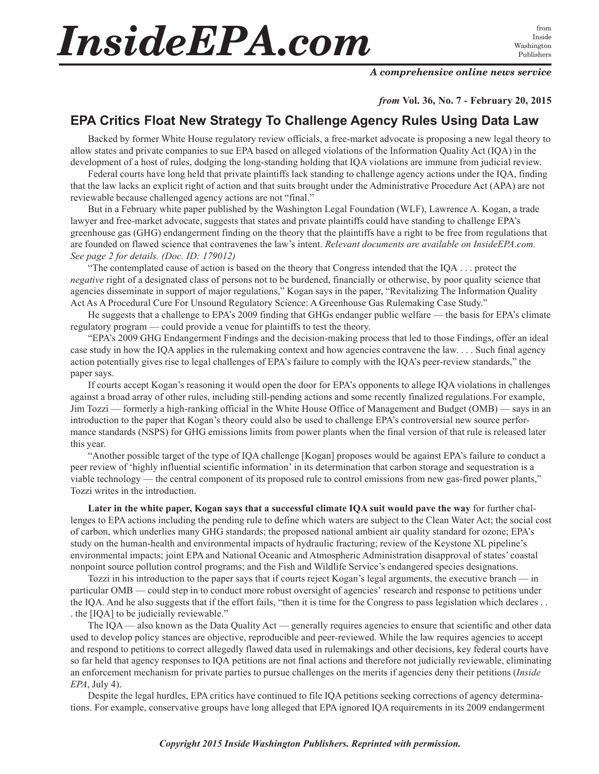## *InsideEPA.com*

Inside Washington Publishers

## *A comprehensive online news service*

*from* **Vol. 36, No. 7 - February 20, 2015**

## **EPA Critics Float New Strategy To Challenge Agency Rules Using Data Law**

Backed by former White House regulatory review officials, a free-market advocate is proposing a new legal theory to allow states and private companies to sue EPA based on alleged violations of the Information Quality Act (IQA) in the development of a host of rules, dodging the long-standing holding that IQA violations are immune from judicial review.

Federal courts have long held that private plaintiffs lack standing to challenge agency actions under the IQA, finding that the law lacks an explicit right of action and that suits brought under the Administrative Procedure Act (APA) are not reviewable because challenged agency actions are not "final."

But in a February white paper published by the Washington Legal Foundation (WLF), Lawrence A. Kogan, a trade lawyer and free-market advocate, suggests that states and private plaintiffs could have standing to challenge EPA's greenhouse gas (GHG) endangerment finding on the theory that the plaintiffs have a right to be free from regulations that are founded on flawed science that contravenes the law's intent. *Relevant documents are available on InsideEPA.com. See page 2 for details. (Doc. ID: 179012)*

"The contemplated cause of action is based on the theory that Congress intended that the IQA . . . protect the *negative* right of a designated class of persons not to be burdened, financially or otherwise, by poor quality science that agencies disseminate in support of major regulations," Kogan says in the paper, "Revitalizing The Information Quality Act As A Procedural Cure For Unsound Regulatory Science: A Greenhouse Gas Rulemaking Case Study."

He suggests that a challenge to EPA's 2009 finding that GHGs endanger public welfare — the basis for EPA's climate regulatory program — could provide a venue for plaintiffs to test the theory.

"EPA's 2009 GHG Endangerment Findings and the decision-making process that led to those Findings, offer an ideal case study in how the IQA applies in the rulemaking context and how agencies contravene the law. . . . Such final agency action potentially gives rise to legal challenges of EPA's failure to comply with the IQA's peer-review standards," the paper says.

If courts accept Kogan's reasoning it would open the door for EPA's opponents to allege IQA violations in challenges against a broad array of other rules, including still-pending actions and some recently finalized regulations.For example, Jim Tozzi — formerly a high-ranking official in the White House Office of Management and Budget (OMB) — says in an introduction to the paper that Kogan's theory could also be used to challenge EPA's controversial new source performance standards (NSPS) for GHG emissions limits from power plants when the final version of that rule is released later this year.

"Another possible target of the type of IQA challenge [Kogan] proposes would be against EPA's failure to conduct a peer review of 'highly influential scientific information' in its determination that carbon storage and sequestration is a viable technology — the central component of its proposed rule to control emissions from new gas-fired power plants," Tozzi writes in the introduction.

**Later in the white paper, Kogan says that a successful climate IQA suit would pave the way** for further challenges to EPA actions including the pending rule to define which waters are subject to the Clean Water Act; the social cost of carbon, which underlies many GHG standards; the proposed national ambient air quality standard for ozone; EPA's study on the human-health and environmental impacts of hydraulic fracturing; review of the Keystone XL pipeline's environmental impacts; joint EPA and National Oceanic and Atmospheric Administration disapproval of states' coastal nonpoint source pollution control programs; and the Fish and Wildlife Service's endangered species designations.

Tozzi in his introduction to the paper says that if courts reject Kogan's legal arguments, the executive branch — in particular OMB — could step in to conduct more robust oversight of agencies' research and response to petitions under the IQA. And he also suggests that if the effort fails, "then it is time for the Congress to pass legislation which declares . . . the [IQA] to be judicially reviewable."

The IQA — also known as the Data Quality Act — generally requires agencies to ensure that scientific and other data used to develop policy stances are objective, reproducible and peer-reviewed. While the law requires agencies to accept and respond to petitions to correct allegedly flawed data used in rulemakings and other decisions, key federal courts have so far held that agency responses to IQA petitions are not final actions and therefore not judicially reviewable, eliminating an enforcement mechanism for private parties to pursue challenges on the merits if agencies deny their petitions (*Inside EPA*, July 4).

Despite the legal hurdles, EPA critics have continued to file IQA petitions seeking corrections of agency determinations. For example, conservative groups have long alleged that EPA ignored IQA requirements in its 2009 endangerment